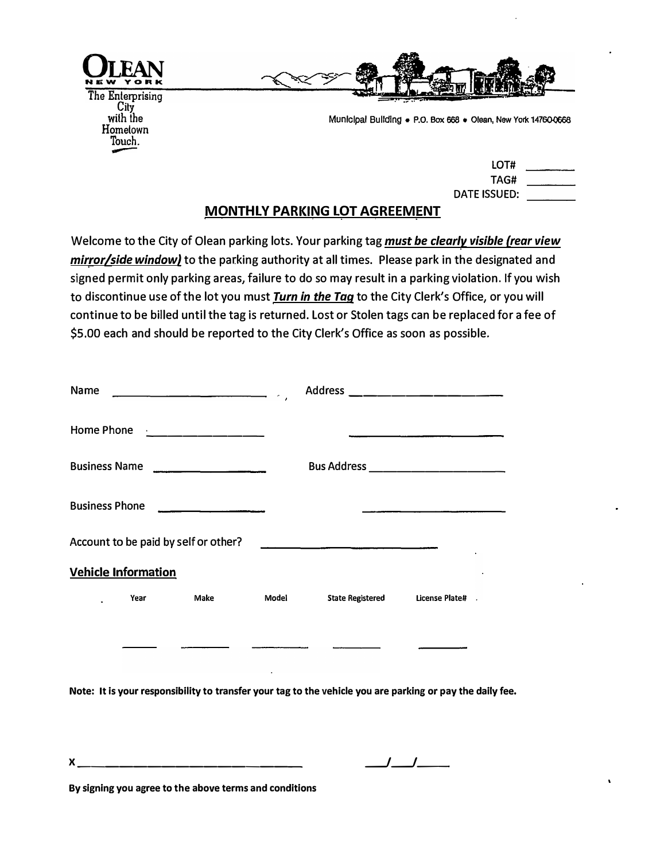



**Munlclpal Bulldlng • P.O. Box 668 • Olean, New York 147600068** 

## LOT# TAG# DATE ISSUED:

## **MONTHLY PARKING LOT AGREEMENT**  . . .. .

Welcome to the City of Olean parking lots. Your parking tag *must be clearly visible (rear view mirror/side window)* to the parking authority at all times. Please park in the designated and signed permit only parking areas, failure to do so may result in a parking violation. If you wish to discontinue use of the lot you must *Turn in the Taq* to the City Clerk's Office, or you will continue to be billed until the tag is returned. Lost or Stolen tags can be replaced for a fee of \$5.00 each and should be reported to the City Clerk's Office as soon as possible.

| Name                                 |                                                                                                                                                                                                                                                                                           |       | Address _____________________                   |                |  |  |
|--------------------------------------|-------------------------------------------------------------------------------------------------------------------------------------------------------------------------------------------------------------------------------------------------------------------------------------------|-------|-------------------------------------------------|----------------|--|--|
|                                      | Home Phone <u>  __________</u> ________                                                                                                                                                                                                                                                   |       |                                                 |                |  |  |
| <b>Business Name</b>                 | $\frac{1}{2}$ . The contract of the contract of $\frac{1}{2}$ . The contract of $\frac{1}{2}$ , $\frac{1}{2}$ , $\frac{1}{2}$ , $\frac{1}{2}$ , $\frac{1}{2}$ , $\frac{1}{2}$ , $\frac{1}{2}$ , $\frac{1}{2}$ , $\frac{1}{2}$ , $\frac{1}{2}$ , $\frac{1}{2}$ , $\frac{1}{2}$ , $\frac{1$ |       | <b>Bus Address</b> ____________________________ |                |  |  |
| <b>Business Phone</b>                | <u> 1989 - Jan James James Jan James James Jan James James Jan James James Jan James James Jan Jan James James Ja</u>                                                                                                                                                                     |       |                                                 |                |  |  |
| Account to be paid by self or other? |                                                                                                                                                                                                                                                                                           |       |                                                 |                |  |  |
| <b>Vehicle Information</b>           |                                                                                                                                                                                                                                                                                           |       |                                                 |                |  |  |
| Year                                 | Make                                                                                                                                                                                                                                                                                      | Model | <b>State Registered</b>                         | License Plate# |  |  |
|                                      |                                                                                                                                                                                                                                                                                           |       |                                                 |                |  |  |
|                                      |                                                                                                                                                                                                                                                                                           |       |                                                 |                |  |  |

**Note: It is your responsibility to transfer your tag to the vehicle you are parking or pay the daily fee.** 

| $\mathbf{v}$<br>$\sqrt{ }$ | _______________<br>____ |  |
|----------------------------|-------------------------|--|
|                            |                         |  |

**By signing you agree to the above terms and conditions**